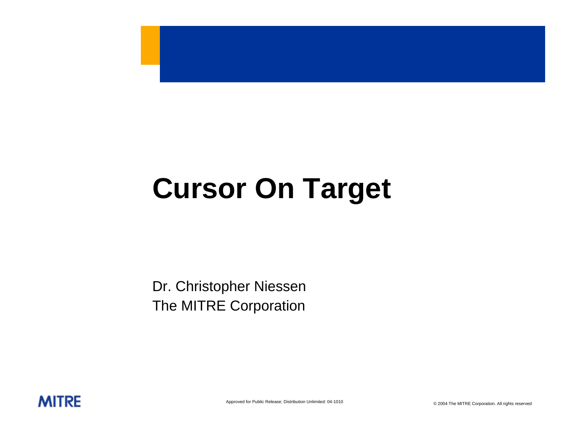# **Cursor On Target**

Dr. Christopher Niessen The MITRE Corporation

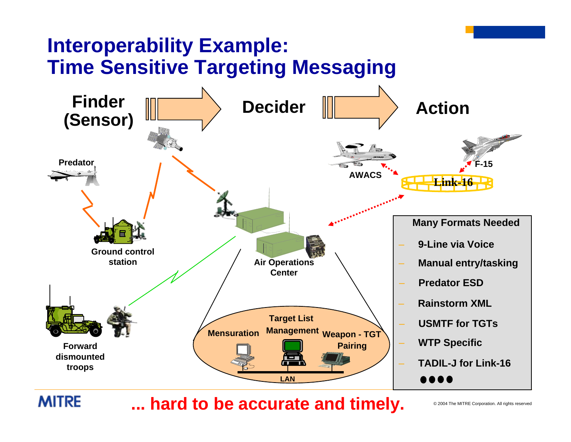

hard to be accurate and timely.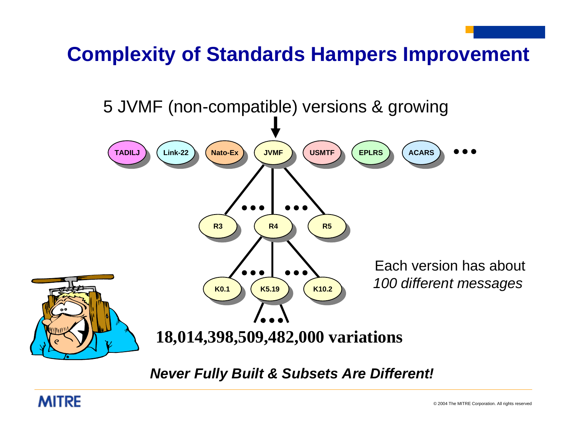## **Complexity of Standards Hampers Improvement**

5 JVMF (non-compatible) versions & growing



*Never Fully Built & Subsets Are Different!*

#### **MITRE**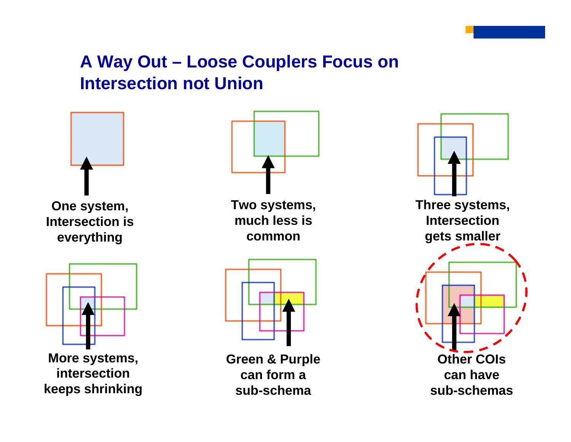#### **A Way Out – Loose Couplers Focus on Intersection not Union**

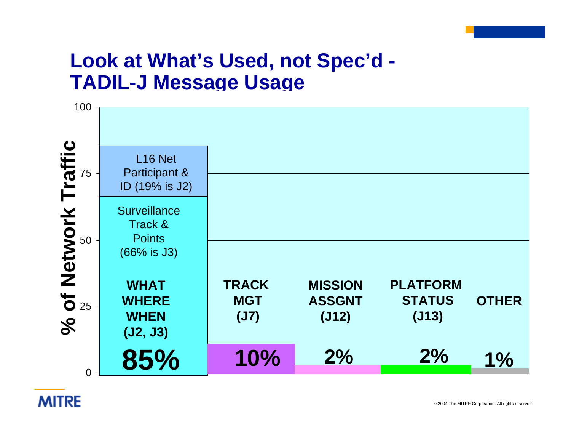#### **Look at What's Used, not Spec'd - TADIL-J Message Usage**



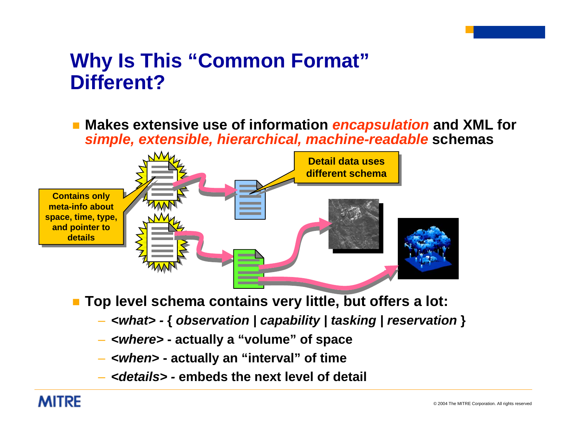#### **Why Is This "Common Format" Different?**

 **Makes extensive use of information** *encapsulation* **and XML for**  *simple, extensible, hierarchical, machine-readable* **schemas**



**Top level schema contains very little, but offers a lot:**

- *<what>* **{** *observation | capability | tasking | reservation* **}**
- *<where>*  **actually a "volume" of space**
- *<when***> actually an "interval" of time**
- *<details>* **embeds the next level of detail**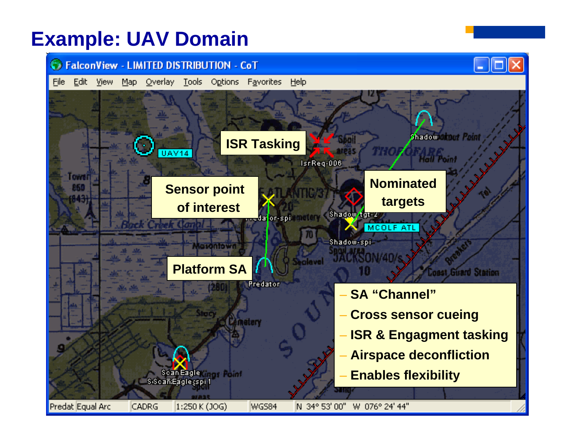#### **Example: UAV Domain**

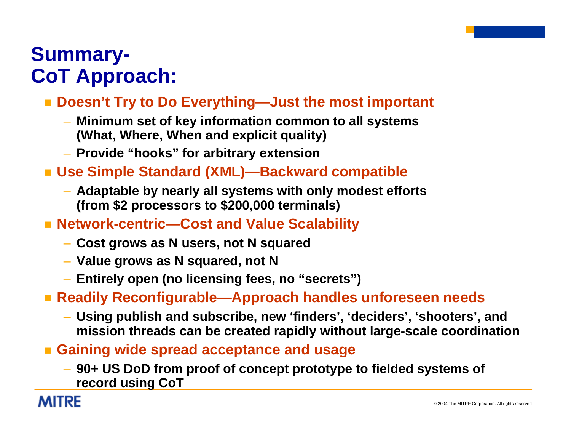### **Summary-CoT Approach:**

#### **Doesn't Try to Do Everything—Just the most important**

- **Minimum set of key information common to all systems (What, Where, When and explicit quality)**
- **Provide "hooks" for arbitrary extension**
- **Use Simple Standard (XML)—Backward compatible**
	- **Adaptable by nearly all systems with only modest efforts (from \$2 processors to \$200,000 terminals)**
- Network-centric—Cost and Value Scalability
	- **Cost grows as N users, not N squared**
	- **Value grows as N squared, not N**
	- **Entirely open (no licensing fees, no "secrets")**
- **Readily Reconfigurable—Approach handles unforeseen needs**
	- **Using publish and subscribe, new 'finders', 'deciders', 'shooters', and mission threads can be created rapidly without large-scale coordination**
- **Gaining wide spread acceptance and usage**
	- **90+ US DoD from proof of concept prototype to fielded systems of record using CoT**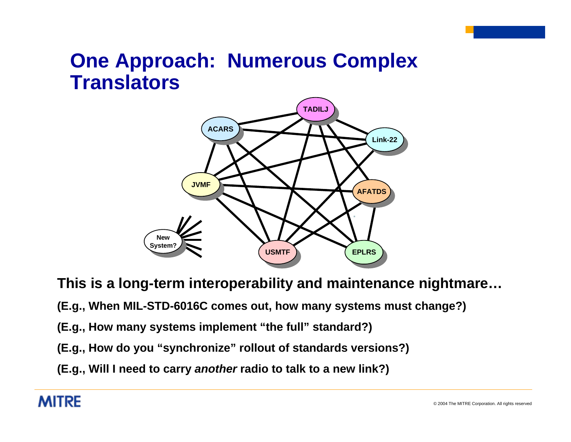### **One Approach: Numerous Complex Translators**



**This is a long-term interoperability and maintenance nightmare…**

**(E.g., When MIL-STD-6016C comes out, how many systems must change?)**

**(E.g., How many systems implement "the full" standard?)**

**(E.g., How do you "synchronize" rollout of standards versions?)**

**(E.g., Will I need to carry** *another* **radio to talk to a new link?)**

#### **MITRE**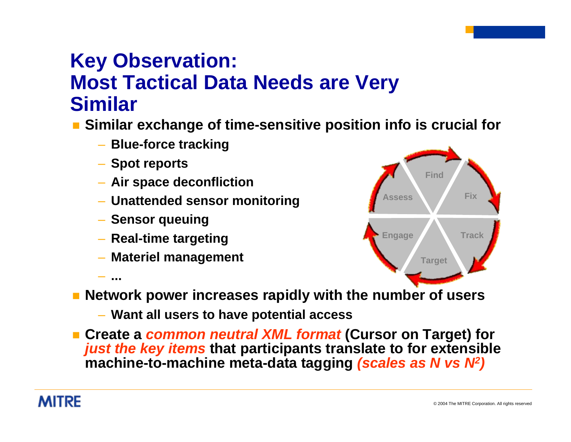## **Key Observation: Most Tactical Data Needs are Very Similar**

- **Similar exchange of time-sensitive position info is crucial for**
	- **Blue-force tracking**
	- **Spot reports**
	- **Air space deconfliction**
	- **Unattended sensor monitoring**
	- **Sensor queuing**

– **...**

- **Real-time targeting**
- **Materiel management**



- **Network power increases rapidly with the number of users**
	- **Want all users to have potential access**
- **Create a** *common neutral XML format* **(Cursor on Target) for**  *just the key items* **that participants translate to for extensible machine-to-machine meta-data tagging** *(scales as N vs N2)*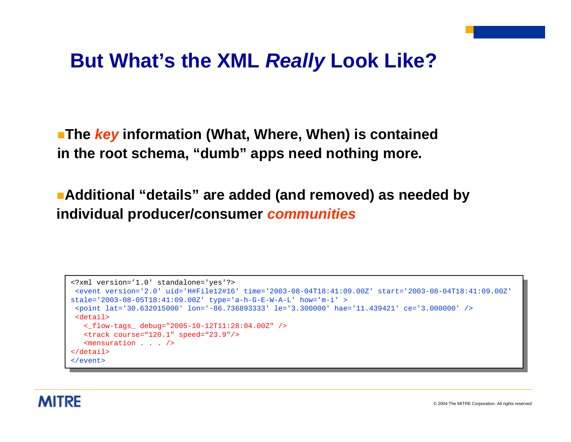#### **But What's the XML** *Really* **Look Like?**

**The** *key* **information (What, Where, When) is contained in the root schema, "dumb" apps need nothing more.**

**Additional "details" are added (and removed) as needed by individual producer/consumer** *communities*

```
<?xml version='1.0' standalone='yes'?>
<?xml version='1.0' standalone='yes'?>
<?xml version='1.0' standalone='yes'?>
<event version='2.0' uid='H#File12#16' time='2003-08-04T18:41:09.00Z' start='2003-08-04T18:41:09.00Z' 
\frac{1}{2003} -08-05-05-05-05 (41:09.002) type='a-h-G-E-W-A-L' how='m-i' >
 -<br>spoint lat='30.632015000' lon='-86.736893333' le='3.300000' hae='11.439421' ce='3.0</a>
   \epsilon-debuari<br>
<_flow-tags_ debug="2005-10-12T11:28:04.00Z" />
  \det i1<point lat='30.632015000' lon='-86.736893333' le='3.300000' hae='11.439421' ce='3.000000' />
<point lat='30.632015000' lon='-86.736893333' le='3.300000' hae='11.439421' ce='3.000000' />
   \frack course="120.1" speed="23.9"/>
    \frac{1}{2} speed \frac{1}{2} speed \frac{1}{2}.
   <mensuration . . . />
<mensuration . . . />
\overline{\phantom{a}} /event>
 , \circ \circ \circ \circ \circ<?xml version='1.0' standalone='yes'?>
 <detail></detail>
```